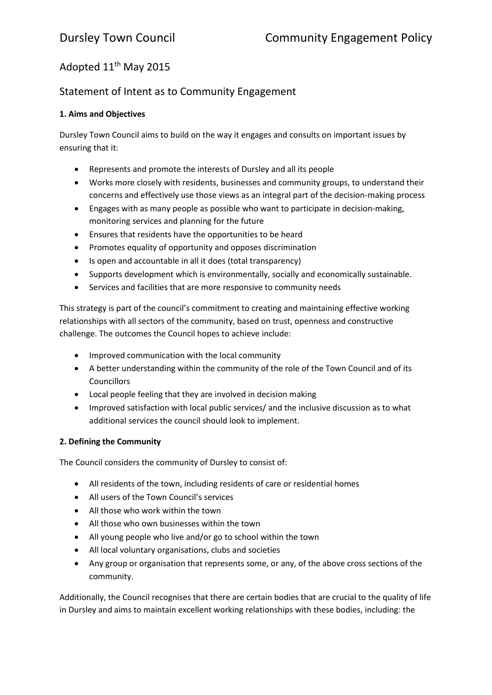# Adopted 11<sup>th</sup> May 2015

## Statement of Intent as to Community Engagement

#### **1. Aims and Objectives**

Dursley Town Council aims to build on the way it engages and consults on important issues by ensuring that it:

- Represents and promote the interests of Dursley and all its people
- Works more closely with residents, businesses and community groups, to understand their concerns and effectively use those views as an integral part of the decision-making process
- Engages with as many people as possible who want to participate in decision-making, monitoring services and planning for the future
- Ensures that residents have the opportunities to be heard
- Promotes equality of opportunity and opposes discrimination
- Is open and accountable in all it does (total transparency)
- Supports development which is environmentally, socially and economically sustainable.
- Services and facilities that are more responsive to community needs

This strategy is part of the council's commitment to creating and maintaining effective working relationships with all sectors of the community, based on trust, openness and constructive challenge. The outcomes the Council hopes to achieve include:

- Improved communication with the local community
- A better understanding within the community of the role of the Town Council and of its **Councillors**
- Local people feeling that they are involved in decision making
- Improved satisfaction with local public services/ and the inclusive discussion as to what additional services the council should look to implement.

#### **2. Defining the Community**

The Council considers the community of Dursley to consist of:

- All residents of the town, including residents of care or residential homes
- All users of the Town Council's services
- All those who work within the town
- All those who own businesses within the town
- All young people who live and/or go to school within the town
- All local voluntary organisations, clubs and societies
- Any group or organisation that represents some, or any, of the above cross sections of the community.

Additionally, the Council recognises that there are certain bodies that are crucial to the quality of life in Dursley and aims to maintain excellent working relationships with these bodies, including: the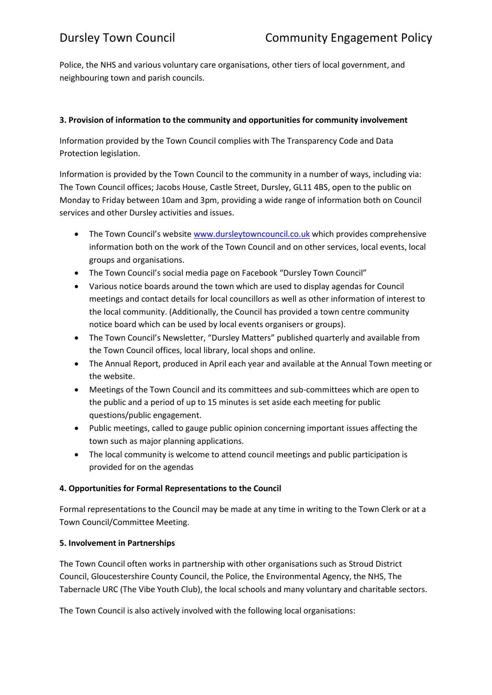Police, the NHS and various voluntary care organisations, other tiers of local government, and neighbouring town and parish councils.

#### **3. Provision of information to the community and opportunities for community involvement**

Information provided by the Town Council complies with The Transparency Code and Data Protection legislation.

Information is provided by the Town Council to the community in a number of ways, including via: The Town Council offices; Jacobs House, Castle Street, Dursley, GL11 4BS, open to the public on Monday to Friday between 10am and 3pm, providing a wide range of information both on Council services and other Dursley activities and issues.

- The Town Council's website [www.dursleytowncouncil.co.uk](http://www.dursleytowncouncil.co.uk/) which provides comprehensive information both on the work of the Town Council and on other services, local events, local groups and organisations.
- The Town Council's social media page on Facebook "Dursley Town Council"
- Various notice boards around the town which are used to display agendas for Council meetings and contact details for local councillors as well as other information of interest to the local community. (Additionally, the Council has provided a town centre community notice board which can be used by local events organisers or groups).
- The Town Council's Newsletter, "Dursley Matters" published quarterly and available from the Town Council offices, local library, local shops and online.
- The Annual Report, produced in April each year and available at the Annual Town meeting or the website.
- Meetings of the Town Council and its committees and sub-committees which are open to the public and a period of up to 15 minutes is set aside each meeting for public questions/public engagement.
- Public meetings, called to gauge public opinion concerning important issues affecting the town such as major planning applications.
- The local community is welcome to attend council meetings and public participation is provided for on the agendas

### **4. Opportunities for Formal Representations to the Council**

Formal representations to the Council may be made at any time in writing to the Town Clerk or at a Town Council/Committee Meeting.

#### **5. Involvement in Partnerships**

The Town Council often works in partnership with other organisations such as Stroud District Council, Gloucestershire County Council, the Police, the Environmental Agency, the NHS, The Tabernacle URC (The Vibe Youth Club), the local schools and many voluntary and charitable sectors.

The Town Council is also actively involved with the following local organisations: